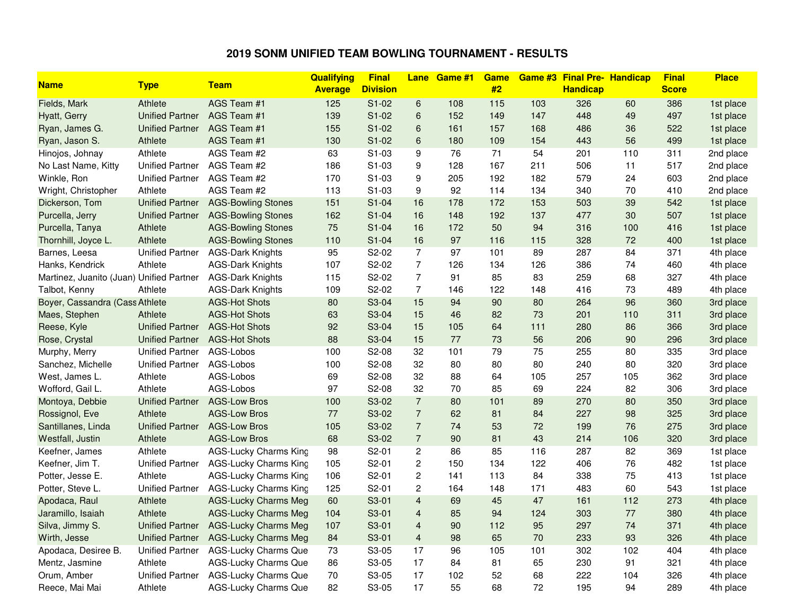## **2019 SONM UNIFIED TEAM BOWLING TOURNAMENT - RESULTS**

|                                          |                        |                              | Qualifying     | <b>Final</b>    | <b>Lane</b>      | Game #1 | <b>Game</b> |     | <b>Game #3 Final Pre- Handicap</b> |     | <b>Final</b> | <b>Place</b> |
|------------------------------------------|------------------------|------------------------------|----------------|-----------------|------------------|---------|-------------|-----|------------------------------------|-----|--------------|--------------|
| <b>Name</b>                              | <b>Type</b>            | <b>Team</b>                  | <b>Average</b> | <b>Division</b> |                  |         | #2          |     | <b>Handicap</b>                    |     | <b>Score</b> |              |
| Fields, Mark                             | Athlete                | AGS Team #1                  | 125            | $S1-02$         | $\,6$            | 108     | 115         | 103 | 326                                | 60  | 386          | 1st place    |
| Hyatt, Gerry                             | <b>Unified Partner</b> | AGS Team #1                  | 139            | $S1-02$         | 6                | 152     | 149         | 147 | 448                                | 49  | 497          | 1st place    |
| Ryan, James G.                           | <b>Unified Partner</b> | AGS Team #1                  | 155            | $S1-02$         | $6\phantom{1}6$  | 161     | 157         | 168 | 486                                | 36  | 522          | 1st place    |
| Ryan, Jason S.                           | Athlete                | AGS Team #1                  | 130            | $S1-02$         | 6                | 180     | 109         | 154 | 443                                | 56  | 499          | 1st place    |
| Hinojos, Johnay                          | Athlete                | AGS Team #2                  | 63             | S1-03           | 9                | 76      | 71          | 54  | 201                                | 110 | 311          | 2nd place    |
| No Last Name, Kitty                      | <b>Unified Partner</b> | AGS Team #2                  | 186            | S1-03           | 9                | 128     | 167         | 211 | 506                                | 11  | 517          | 2nd place    |
| Winkle, Ron                              | <b>Unified Partner</b> | AGS Team #2                  | 170            | S1-03           | 9                | 205     | 192         | 182 | 579                                | 24  | 603          | 2nd place    |
| Wright, Christopher                      | Athlete                | AGS Team #2                  | 113            | S1-03           | $\boldsymbol{9}$ | 92      | 114         | 134 | 340                                | 70  | 410          | 2nd place    |
| Dickerson, Tom                           | <b>Unified Partner</b> | <b>AGS-Bowling Stones</b>    | 151            | $S1-04$         | 16               | 178     | 172         | 153 | 503                                | 39  | 542          | 1st place    |
| Purcella, Jerry                          | <b>Unified Partner</b> | <b>AGS-Bowling Stones</b>    | 162            | $S1-04$         | 16               | 148     | 192         | 137 | 477                                | 30  | 507          | 1st place    |
| Purcella, Tanya                          | Athlete                | <b>AGS-Bowling Stones</b>    | 75             | $S1-04$         | 16               | 172     | 50          | 94  | 316                                | 100 | 416          | 1st place    |
| Thornhill, Joyce L.                      | Athlete                | <b>AGS-Bowling Stones</b>    | 110            | $S1-04$         | 16               | 97      | 116         | 115 | 328                                | 72  | 400          | 1st place    |
| Barnes, Leesa                            | <b>Unified Partner</b> | <b>AGS-Dark Knights</b>      | 95             | S2-02           | $\overline{7}$   | 97      | 101         | 89  | 287                                | 84  | 371          | 4th place    |
| Hanks, Kendrick                          | Athlete                | <b>AGS-Dark Knights</b>      | 107            | S2-02           | $\overline{7}$   | 126     | 134         | 126 | 386                                | 74  | 460          | 4th place    |
| Martinez, Juanito (Juan) Unified Partner |                        | <b>AGS-Dark Knights</b>      | 115            | S2-02           | $\overline{7}$   | 91      | 85          | 83  | 259                                | 68  | 327          | 4th place    |
| Talbot, Kenny                            | Athlete                | <b>AGS-Dark Knights</b>      | 109            | S2-02           | $\overline{7}$   | 146     | 122         | 148 | 416                                | 73  | 489          | 4th place    |
| Boyer, Cassandra (Cass Athlete           |                        | <b>AGS-Hot Shots</b>         | 80             | S3-04           | 15               | 94      | 90          | 80  | 264                                | 96  | 360          | 3rd place    |
| Maes, Stephen                            | Athlete                | <b>AGS-Hot Shots</b>         | 63             | S3-04           | 15               | 46      | 82          | 73  | 201                                | 110 | 311          | 3rd place    |
| Reese, Kyle                              | <b>Unified Partner</b> | <b>AGS-Hot Shots</b>         | 92             | S3-04           | 15               | 105     | 64          | 111 | 280                                | 86  | 366          | 3rd place    |
| Rose, Crystal                            | <b>Unified Partner</b> | <b>AGS-Hot Shots</b>         | 88             | S3-04           | 15               | 77      | 73          | 56  | 206                                | 90  | 296          | 3rd place    |
| Murphy, Merry                            | <b>Unified Partner</b> | AGS-Lobos                    | 100            | S2-08           | 32               | 101     | 79          | 75  | 255                                | 80  | 335          | 3rd place    |
| Sanchez, Michelle                        | <b>Unified Partner</b> | AGS-Lobos                    | 100            | S2-08           | 32               | 80      | 80          | 80  | 240                                | 80  | 320          | 3rd place    |
| West, James L.                           | Athlete                | AGS-Lobos                    | 69             | S2-08           | 32               | 88      | 64          | 105 | 257                                | 105 | 362          | 3rd place    |
| Wofford, Gail L.                         | Athlete                | AGS-Lobos                    | 97             | S2-08           | 32               | 70      | 85          | 69  | 224                                | 82  | 306          | 3rd place    |
| Montoya, Debbie                          | <b>Unified Partner</b> | <b>AGS-Low Bros</b>          | 100            | S3-02           | $\overline{7}$   | 80      | 101         | 89  | 270                                | 80  | 350          | 3rd place    |
| Rossignol, Eve                           | Athlete                | <b>AGS-Low Bros</b>          | 77             | S3-02           | $\overline{7}$   | 62      | 81          | 84  | 227                                | 98  | 325          | 3rd place    |
| Santillanes, Linda                       | <b>Unified Partner</b> | <b>AGS-Low Bros</b>          | 105            | S3-02           | $\overline{7}$   | 74      | 53          | 72  | 199                                | 76  | 275          | 3rd place    |
| Westfall, Justin                         | Athlete                | <b>AGS-Low Bros</b>          | 68             | S3-02           | $\overline{7}$   | 90      | 81          | 43  | 214                                | 106 | 320          | 3rd place    |
| Keefner, James                           | Athlete                | <b>AGS-Lucky Charms King</b> | 98             | S2-01           | $\overline{c}$   | 86      | 85          | 116 | 287                                | 82  | 369          | 1st place    |
| Keefner, Jim T.                          | <b>Unified Partner</b> | <b>AGS-Lucky Charms King</b> | 105            | S2-01           | $\overline{c}$   | 150     | 134         | 122 | 406                                | 76  | 482          | 1st place    |
| Potter, Jesse E.                         | Athlete                | <b>AGS-Lucky Charms King</b> | 106            | S2-01           | $\overline{c}$   | 141     | 113         | 84  | 338                                | 75  | 413          | 1st place    |
| Potter, Steve L.                         | <b>Unified Partner</b> | <b>AGS-Lucky Charms King</b> | 125            | S2-01           | $\overline{c}$   | 164     | 148         | 171 | 483                                | 60  | 543          | 1st place    |
| Apodaca, Raul                            | Athlete                | <b>AGS-Lucky Charms Meg</b>  | 60             | S3-01           | $\overline{4}$   | 69      | 45          | 47  | 161                                | 112 | 273          | 4th place    |
| Jaramillo, Isaiah                        | Athlete                | <b>AGS-Lucky Charms Meg</b>  | 104            | S3-01           | $\overline{4}$   | 85      | 94          | 124 | 303                                | 77  | 380          | 4th place    |
| Silva, Jimmy S.                          | <b>Unified Partner</b> | <b>AGS-Lucky Charms Meg</b>  | 107            | S3-01           | $\overline{4}$   | 90      | 112         | 95  | 297                                | 74  | 371          | 4th place    |
| Wirth, Jesse                             | <b>Unified Partner</b> | <b>AGS-Lucky Charms Meg</b>  | 84             | S3-01           | $\overline{4}$   | 98      | 65          | 70  | 233                                | 93  | 326          | 4th place    |
| Apodaca, Desiree B.                      | <b>Unified Partner</b> | <b>AGS-Lucky Charms Que</b>  | 73             | $S3-05$         | 17               | 96      | 105         | 101 | 302                                | 102 | 404          | 4th place    |
| Mentz, Jasmine                           | Athlete                | AGS-Lucky Charms Que         | 86             | S3-05           | 17               | 84      | 81          | 65  | 230                                | 91  | 321          | 4th place    |
| Orum, Amber                              | <b>Unified Partner</b> | <b>AGS-Lucky Charms Que</b>  | 70             | S3-05           | 17               | 102     | 52          | 68  | 222                                | 104 | 326          | 4th place    |
| Reece, Mai Mai                           | Athlete                | <b>AGS-Lucky Charms Que</b>  | 82             | S3-05           | 17               | 55      | 68          | 72  | 195                                | 94  | 289          | 4th place    |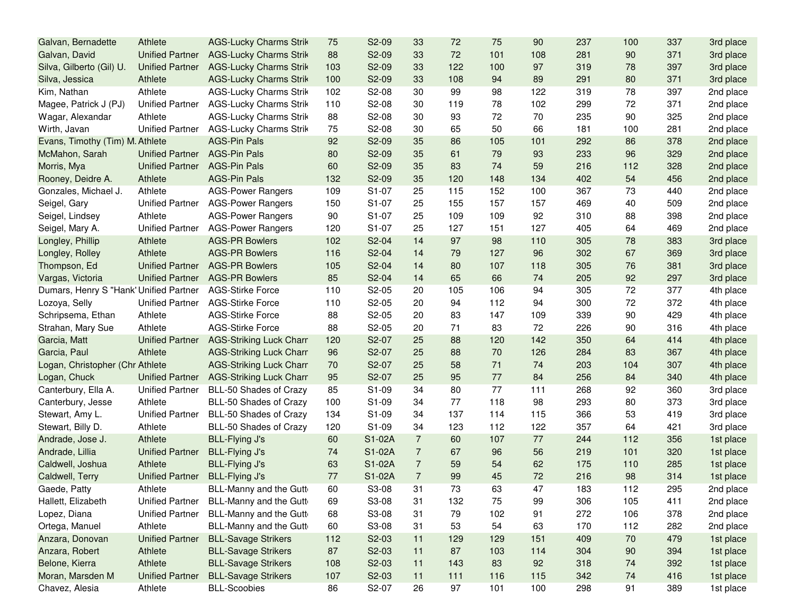| Galvan, Bernadette                     | Athlete                | <b>AGS-Lucky Charms Strik</b>  | 75  | S2-09  | 33             | 72  | 75  | 90  | 237 | 100    | 337 | 3rd place |
|----------------------------------------|------------------------|--------------------------------|-----|--------|----------------|-----|-----|-----|-----|--------|-----|-----------|
| Galvan, David                          | <b>Unified Partner</b> | <b>AGS-Lucky Charms Strik</b>  | 88  | S2-09  | 33             | 72  | 101 | 108 | 281 | 90     | 371 | 3rd place |
| Silva, Gilberto (Gil) U.               | <b>Unified Partner</b> | <b>AGS-Lucky Charms Strik</b>  | 103 | S2-09  | 33             | 122 | 100 | 97  | 319 | 78     | 397 | 3rd place |
| Silva, Jessica                         | Athlete                | <b>AGS-Lucky Charms Strik</b>  | 100 | S2-09  | 33             | 108 | 94  | 89  | 291 | 80     | 371 | 3rd place |
| Kim, Nathan                            | Athlete                | <b>AGS-Lucky Charms Strik</b>  | 102 | S2-08  | 30             | 99  | 98  | 122 | 319 | 78     | 397 | 2nd place |
| Magee, Patrick J (PJ)                  | <b>Unified Partner</b> | <b>AGS-Lucky Charms Strik</b>  | 110 | S2-08  | 30             | 119 | 78  | 102 | 299 | 72     | 371 | 2nd place |
| Wagar, Alexandar                       | Athlete                | <b>AGS-Lucky Charms Strik</b>  | 88  | S2-08  | 30             | 93  | 72  | 70  | 235 | 90     | 325 | 2nd place |
| Wirth, Javan                           | <b>Unified Partner</b> | <b>AGS-Lucky Charms Strik</b>  | 75  | S2-08  | 30             | 65  | 50  | 66  | 181 | 100    | 281 | 2nd place |
| Evans, Timothy (Tim) M. Athlete        |                        | <b>AGS-Pin Pals</b>            | 92  | S2-09  | 35             | 86  | 105 | 101 | 292 | 86     | 378 | 2nd place |
| McMahon, Sarah                         | <b>Unified Partner</b> | <b>AGS-Pin Pals</b>            | 80  | S2-09  | 35             | 61  | 79  | 93  | 233 | 96     | 329 | 2nd place |
| Morris, Mya                            | <b>Unified Partner</b> | <b>AGS-Pin Pals</b>            | 60  | S2-09  | 35             | 83  | 74  | 59  | 216 | 112    | 328 | 2nd place |
| Rooney, Deidre A.                      | Athlete                | <b>AGS-Pin Pals</b>            | 132 | S2-09  | 35             | 120 | 148 | 134 | 402 | 54     | 456 | 2nd place |
| Gonzales, Michael J.                   | Athlete                | <b>AGS-Power Rangers</b>       | 109 | S1-07  | 25             | 115 | 152 | 100 | 367 | 73     | 440 | 2nd place |
| Seigel, Gary                           | <b>Unified Partner</b> | <b>AGS-Power Rangers</b>       | 150 | S1-07  | 25             | 155 | 157 | 157 | 469 | 40     | 509 | 2nd place |
| Seigel, Lindsey                        | Athlete                | <b>AGS-Power Rangers</b>       | 90  | S1-07  | 25             | 109 | 109 | 92  | 310 | 88     | 398 | 2nd place |
| Seigel, Mary A.                        | <b>Unified Partner</b> | <b>AGS-Power Rangers</b>       | 120 | S1-07  | 25             | 127 | 151 | 127 | 405 | 64     | 469 | 2nd place |
| Longley, Phillip                       | Athlete                | <b>AGS-PR Bowlers</b>          | 102 | S2-04  | 14             | 97  | 98  | 110 | 305 | 78     | 383 | 3rd place |
| Longley, Rolley                        | Athlete                | <b>AGS-PR Bowlers</b>          | 116 | S2-04  | 14             | 79  | 127 | 96  | 302 | 67     | 369 | 3rd place |
| Thompson, Ed                           | <b>Unified Partner</b> | <b>AGS-PR Bowlers</b>          | 105 | S2-04  | 14             | 80  | 107 | 118 | 305 | 76     | 381 | 3rd place |
| Vargas, Victoria                       | <b>Unified Partner</b> | <b>AGS-PR Bowlers</b>          | 85  | S2-04  | 14             | 65  | 66  | 74  | 205 | 92     | 297 | 3rd place |
| Dumars, Henry S "Hank' Unified Partner |                        | <b>AGS-Stirke Force</b>        | 110 | S2-05  | 20             | 105 | 106 | 94  | 305 | 72     | 377 | 4th place |
| Lozoya, Selly                          | <b>Unified Partner</b> | <b>AGS-Stirke Force</b>        | 110 | S2-05  | 20             | 94  | 112 | 94  | 300 | 72     | 372 | 4th place |
| Schripsema, Ethan                      | Athlete                | <b>AGS-Stirke Force</b>        | 88  | S2-05  | 20             | 83  | 147 | 109 | 339 | 90     | 429 | 4th place |
| Strahan, Mary Sue                      | Athlete                | <b>AGS-Stirke Force</b>        | 88  | S2-05  | 20             | 71  | 83  | 72  | 226 | 90     | 316 | 4th place |
| Garcia, Matt                           | <b>Unified Partner</b> | <b>AGS-Striking Luck Charr</b> | 120 | S2-07  | 25             | 88  | 120 | 142 | 350 | 64     | 414 | 4th place |
| Garcia, Paul                           | Athlete                | <b>AGS-Striking Luck Charr</b> | 96  | S2-07  | 25             | 88  | 70  | 126 | 284 | 83     | 367 | 4th place |
| Logan, Christopher (Chr Athlete        |                        | <b>AGS-Striking Luck Charr</b> | 70  | S2-07  | 25             | 58  | 71  | 74  | 203 | 104    | 307 | 4th place |
| Logan, Chuck                           | <b>Unified Partner</b> | <b>AGS-Striking Luck Charr</b> | 95  | S2-07  | 25             | 95  | 77  | 84  | 256 | 84     | 340 | 4th place |
| Canterbury, Ella A.                    | <b>Unified Partner</b> | BLL-50 Shades of Crazy         | 85  | S1-09  | 34             | 80  | 77  | 111 | 268 | 92     | 360 | 3rd place |
| Canterbury, Jesse                      | Athlete                | BLL-50 Shades of Crazy         | 100 | S1-09  | 34             | 77  | 118 | 98  | 293 | 80     | 373 | 3rd place |
| Stewart, Amy L.                        | <b>Unified Partner</b> | BLL-50 Shades of Crazy         | 134 | S1-09  | 34             | 137 | 114 | 115 | 366 | 53     | 419 | 3rd place |
| Stewart, Billy D.                      | Athlete                | BLL-50 Shades of Crazy         | 120 | S1-09  | 34             | 123 | 112 | 122 | 357 | 64     | 421 | 3rd place |
| Andrade, Jose J.                       | Athlete                | BLL-Flying J's                 | 60  | S1-02A | $\overline{7}$ | 60  | 107 | 77  | 244 | 112    | 356 | 1st place |
| Andrade, Lillia                        | <b>Unified Partner</b> | <b>BLL-Flying J's</b>          | 74  | S1-02A | $\overline{7}$ | 67  | 96  | 56  | 219 | 101    | 320 | 1st place |
| Caldwell, Joshua                       | Athlete                | <b>BLL-Flying J's</b>          | 63  | S1-02A | $\overline{7}$ | 59  | 54  | 62  | 175 | 110    | 285 | 1st place |
| Caldwell, Terry                        | <b>Unified Partner</b> | <b>BLL-Flying J's</b>          | 77  | S1-02A | $\overline{7}$ | 99  | 45  | 72  | 216 | 98     | 314 | 1st place |
| Gaede, Patty                           | Athlete                | BLL-Manny and the Gutt         | 60  | S3-08  | 31             | 73  | 63  | 47  | 183 | 112    | 295 | 2nd place |
| Hallett, Elizabeth                     | <b>Unified Partner</b> | BLL-Manny and the Gutt         | 69  | S3-08  | 31             | 132 | 75  | 99  | 306 | 105    | 411 | 2nd place |
| Lopez, Diana                           | <b>Unified Partner</b> | BLL-Manny and the Gutt         | 68  | S3-08  | 31             | 79  | 102 | 91  | 272 | 106    | 378 | 2nd place |
| Ortega, Manuel                         | Athlete                | BLL-Manny and the Gutt         | 60  | S3-08  | 31             | 53  | 54  | 63  | 170 | 112    | 282 | 2nd place |
| Anzara, Donovan                        | <b>Unified Partner</b> | <b>BLL-Savage Strikers</b>     | 112 | S2-03  | 11             | 129 | 129 | 151 | 409 | 70     | 479 | 1st place |
| Anzara, Robert                         | Athlete                | <b>BLL-Savage Strikers</b>     | 87  | S2-03  | 11             | 87  | 103 | 114 | 304 | 90     | 394 | 1st place |
| Belone, Kierra                         | Athlete                | <b>BLL-Savage Strikers</b>     | 108 | S2-03  | 11             | 143 | 83  | 92  | 318 | 74     | 392 | 1st place |
| Moran, Marsden M                       | <b>Unified Partner</b> | <b>BLL-Savage Strikers</b>     | 107 | S2-03  | 11             | 111 | 116 | 115 | 342 | $74\,$ | 416 | 1st place |
| Chavez, Alesia                         | Athlete                | <b>BLL-Scoobies</b>            | 86  | S2-07  | 26             | 97  | 101 | 100 | 298 | 91     | 389 | 1st place |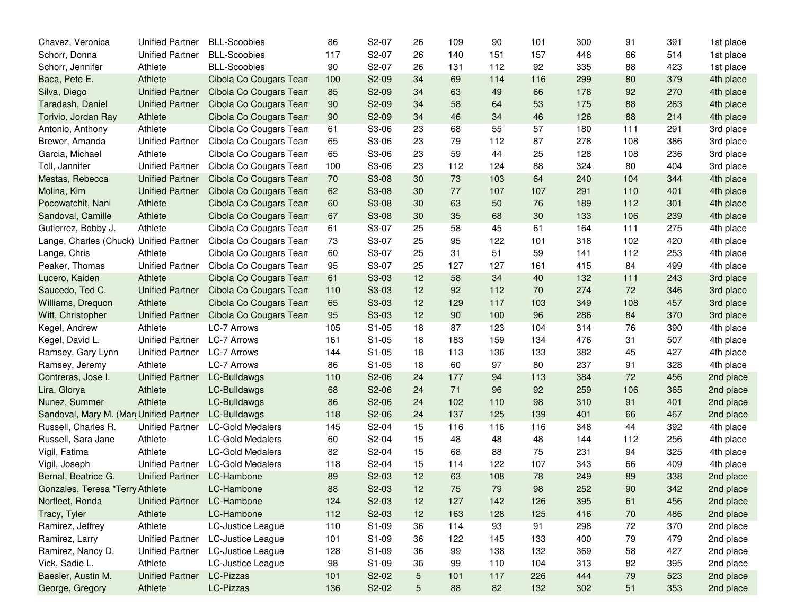| Chavez, Veronica                        | <b>Unified Partner</b> | <b>BLL-Scoobies</b>     | 86  | S2-07              | 26             | 109 | 90  | 101 | 300 | 91  | 391 | 1st place |
|-----------------------------------------|------------------------|-------------------------|-----|--------------------|----------------|-----|-----|-----|-----|-----|-----|-----------|
| Schorr, Donna                           | <b>Unified Partner</b> | <b>BLL-Scoobies</b>     | 117 | S2-07              | 26             | 140 | 151 | 157 | 448 | 66  | 514 | 1st place |
| Schorr, Jennifer                        | Athlete                | <b>BLL-Scoobies</b>     | 90  | S2-07              | 26             | 131 | 112 | 92  | 335 | 88  | 423 | 1st place |
| Baca, Pete E.                           | Athlete                | Cibola Co Cougars Tean  | 100 | S2-09              | 34             | 69  | 114 | 116 | 299 | 80  | 379 | 4th place |
| Silva, Diego                            | <b>Unified Partner</b> | Cibola Co Cougars Tean  | 85  | S2-09              | 34             | 63  | 49  | 66  | 178 | 92  | 270 | 4th place |
| Taradash, Daniel                        | <b>Unified Partner</b> | Cibola Co Cougars Tean  | 90  | S2-09              | 34             | 58  | 64  | 53  | 175 | 88  | 263 | 4th place |
| Torivio, Jordan Ray                     | Athlete                | Cibola Co Cougars Tean  | 90  | S2-09              | 34             | 46  | 34  | 46  | 126 | 88  | 214 | 4th place |
| Antonio, Anthony                        | Athlete                | Cibola Co Cougars Tean  | 61  | S3-06              | 23             | 68  | 55  | 57  | 180 | 111 | 291 | 3rd place |
| Brewer, Amanda                          | <b>Unified Partner</b> | Cibola Co Cougars Tean  | 65  | S3-06              | 23             | 79  | 112 | 87  | 278 | 108 | 386 | 3rd place |
| Garcia, Michael                         | Athlete                | Cibola Co Cougars Tean  | 65  | S3-06              | 23             | 59  | 44  | 25  | 128 | 108 | 236 | 3rd place |
| Toll, Jannifer                          | <b>Unified Partner</b> | Cibola Co Cougars Tean  | 100 | S3-06              | 23             | 112 | 124 | 88  | 324 | 80  | 404 | 3rd place |
| Mestas, Rebecca                         | <b>Unified Partner</b> | Cibola Co Cougars Tean  | 70  | S3-08              | 30             | 73  | 103 | 64  | 240 | 104 | 344 | 4th place |
| Molina, Kim                             | <b>Unified Partner</b> | Cibola Co Cougars Tean  | 62  | S3-08              | 30             | 77  | 107 | 107 | 291 | 110 | 401 | 4th place |
| Pocowatchit, Nani                       | Athlete                | Cibola Co Cougars Tean  | 60  | S3-08              | 30             | 63  | 50  | 76  | 189 | 112 | 301 | 4th place |
| Sandoval, Camille                       | Athlete                | Cibola Co Cougars Tean  | 67  | S3-08              | 30             | 35  | 68  | 30  | 133 | 106 | 239 | 4th place |
| Gutierrez, Bobby J.                     | Athlete                | Cibola Co Cougars Tean  | 61  | S3-07              | 25             | 58  | 45  | 61  | 164 | 111 | 275 | 4th place |
| Lange, Charles (Chuck)                  | <b>Unified Partner</b> | Cibola Co Cougars Tean  | 73  | S3-07              | 25             | 95  | 122 | 101 | 318 | 102 | 420 | 4th place |
| Lange, Chris                            | Athlete                | Cibola Co Cougars Tean  | 60  | S3-07              | 25             | 31  | 51  | 59  | 141 | 112 | 253 | 4th place |
| Peaker, Thomas                          | <b>Unified Partner</b> | Cibola Co Cougars Tean  | 95  | S3-07              | 25             | 127 | 127 | 161 | 415 | 84  | 499 | 4th place |
| Lucero, Kaiden                          | Athlete                | Cibola Co Cougars Tean  | 61  | S3-03              | 12             | 58  | 34  | 40  | 132 | 111 | 243 | 3rd place |
| Saucedo, Ted C.                         | <b>Unified Partner</b> | Cibola Co Cougars Tean  | 110 | S3-03              | 12             | 92  | 112 | 70  | 274 | 72  | 346 | 3rd place |
| Williams, Drequon                       | Athlete                | Cibola Co Cougars Tean  | 65  | S3-03              | 12             | 129 | 117 | 103 | 349 | 108 | 457 | 3rd place |
| Witt, Christopher                       | <b>Unified Partner</b> | Cibola Co Cougars Tean  | 95  | S3-03              | 12             | 90  | 100 | 96  | 286 | 84  | 370 | 3rd place |
| Kegel, Andrew                           | Athlete                | LC-7 Arrows             | 105 | $S1-05$            | 18             | 87  | 123 | 104 | 314 | 76  | 390 | 4th place |
| Kegel, David L.                         | <b>Unified Partner</b> | <b>LC-7 Arrows</b>      | 161 | $S1-05$            | 18             | 183 | 159 | 134 | 476 | 31  | 507 | 4th place |
| Ramsey, Gary Lynn                       | <b>Unified Partner</b> | LC-7 Arrows             | 144 | $S1-05$            | 18             | 113 | 136 | 133 | 382 | 45  | 427 | 4th place |
| Ramsey, Jeremy                          | Athlete                | <b>LC-7 Arrows</b>      | 86  | $S1-05$            | 18             | 60  | 97  | 80  | 237 | 91  | 328 | 4th place |
| Contreras, Jose I.                      | <b>Unified Partner</b> | LC-Bulldawgs            | 110 | S2-06              | 24             | 177 | 94  | 113 | 384 | 72  | 456 | 2nd place |
| Lira, Glorya                            | Athlete                | LC-Bulldawgs            | 68  | S2-06              | 24             | 71  | 96  | 92  | 259 | 106 | 365 | 2nd place |
| Nunez, Summer                           | Athlete                | LC-Bulldawgs            | 86  | S2-06              | 24             | 102 | 110 | 98  | 310 | 91  | 401 | 2nd place |
| Sandoval, Mary M. (Mar, Unified Partner |                        | LC-Bulldawgs            | 118 | S2-06              | 24             | 137 | 125 | 139 | 401 | 66  | 467 | 2nd place |
| Russell, Charles R.                     | <b>Unified Partner</b> | <b>LC-Gold Medalers</b> | 145 | S2-04              | 15             | 116 | 116 | 116 | 348 | 44  | 392 | 4th place |
| Russell, Sara Jane                      | Athlete                | <b>LC-Gold Medalers</b> | 60  | S2-04              | 15             | 48  | 48  | 48  | 144 | 112 | 256 | 4th place |
| Vigil, Fatima                           | Athlete                | <b>LC-Gold Medalers</b> | 82  | S2-04              | 15             | 68  | 88  | 75  | 231 | 94  | 325 | 4th place |
| Vigil, Joseph                           | <b>Unified Partner</b> | <b>LC-Gold Medalers</b> | 118 | S2-04              | 15             | 114 | 122 | 107 | 343 | 66  | 409 | 4th place |
| Bernal, Beatrice G.                     | <b>Unified Partner</b> | LC-Hambone              | 89  | S2-03              | 12             | 63  | 108 | 78  | 249 | 89  | 338 | 2nd place |
| Gonzales, Teresa "Terry Athlete         |                        | LC-Hambone              | 88  | S <sub>2</sub> -03 | 12             | 75  | 79  | 98  | 252 | 90  | 342 | 2nd place |
| Norfleet, Ronda                         | <b>Unified Partner</b> | LC-Hambone              | 124 | S2-03              | 12             | 127 | 142 | 126 | 395 | 61  | 456 | 2nd place |
| Tracy, Tyler                            | Athlete                | LC-Hambone              | 112 | S2-03              | 12             | 163 | 128 | 125 | 416 | 70  | 486 | 2nd place |
| Ramirez, Jeffrey                        | Athlete                | LC-Justice League       | 110 | S1-09              | 36             | 114 | 93  | 91  | 298 | 72  | 370 | 2nd place |
| Ramirez, Larry                          | <b>Unified Partner</b> | LC-Justice League       | 101 | S1-09              | 36             | 122 | 145 | 133 | 400 | 79  | 479 | 2nd place |
| Ramirez, Nancy D.                       | <b>Unified Partner</b> | LC-Justice League       | 128 | S1-09              | 36             | 99  | 138 | 132 | 369 | 58  | 427 | 2nd place |
| Vick, Sadie L.                          | Athlete                | LC-Justice League       | 98  | S1-09              | 36             | 99  | 110 | 104 | 313 | 82  | 395 | 2nd place |
| Baesler, Austin M.                      | <b>Unified Partner</b> | LC-Pizzas               | 101 | S2-02              | $\sqrt{5}$     | 101 | 117 | 226 | 444 | 79  | 523 | 2nd place |
| George, Gregory                         | Athlete                | LC-Pizzas               | 136 | S2-02              | $\overline{5}$ | 88  | 82  | 132 | 302 | 51  | 353 | 2nd place |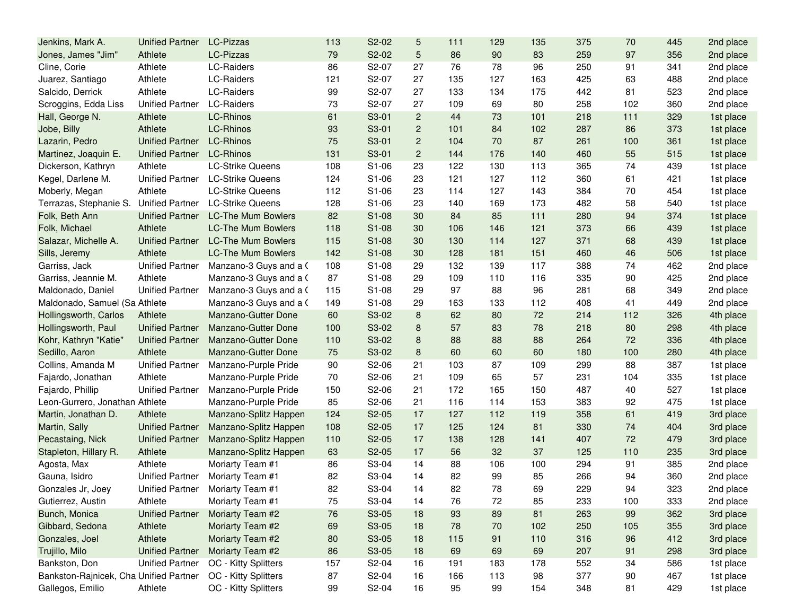| Jenkins, Mark A.                       | <b>Unified Partner</b> | LC-Pizzas                 | 113 | S2-02 | 5              | 111 | 129    | 135 | 375 | 70  | 445 | 2nd place |
|----------------------------------------|------------------------|---------------------------|-----|-------|----------------|-----|--------|-----|-----|-----|-----|-----------|
| Jones, James "Jim"                     | Athlete                | <b>LC-Pizzas</b>          | 79  | S2-02 | 5              | 86  | 90     | 83  | 259 | 97  | 356 | 2nd place |
| Cline, Corie                           | Athlete                | <b>LC-Raiders</b>         | 86  | S2-07 | 27             | 76  | 78     | 96  | 250 | 91  | 341 | 2nd place |
| Juarez, Santiago                       | Athlete                | LC-Raiders                | 121 | S2-07 | 27             | 135 | 127    | 163 | 425 | 63  | 488 | 2nd place |
| Salcido, Derrick                       | Athlete                | LC-Raiders                | 99  | S2-07 | 27             | 133 | 134    | 175 | 442 | 81  | 523 | 2nd place |
| Scroggins, Edda Liss                   | <b>Unified Partner</b> | LC-Raiders                | 73  | S2-07 | 27             | 109 | 69     | 80  | 258 | 102 | 360 | 2nd place |
| Hall, George N.                        | Athlete                | <b>LC-Rhinos</b>          | 61  | S3-01 | $\overline{2}$ | 44  | 73     | 101 | 218 | 111 | 329 | 1st place |
| Jobe, Billy                            | Athlete                | <b>LC-Rhinos</b>          | 93  | S3-01 | $\overline{2}$ | 101 | 84     | 102 | 287 | 86  | 373 | 1st place |
| Lazarin, Pedro                         | <b>Unified Partner</b> | LC-Rhinos                 | 75  | S3-01 | $\overline{2}$ | 104 | 70     | 87  | 261 | 100 | 361 | 1st place |
| Martinez, Joaquin E.                   | <b>Unified Partner</b> | LC-Rhinos                 | 131 | S3-01 | $\overline{c}$ | 144 | 176    | 140 | 460 | 55  | 515 | 1st place |
| Dickerson, Kathryn                     | Athlete                | <b>LC-Strike Queens</b>   | 108 | S1-06 | 23             | 122 | 130    | 113 | 365 | 74  | 439 | 1st place |
| Kegel, Darlene M.                      | <b>Unified Partner</b> | <b>LC-Strike Queens</b>   | 124 | S1-06 | 23             | 121 | 127    | 112 | 360 | 61  | 421 | 1st place |
| Moberly, Megan                         | Athlete                | <b>LC-Strike Queens</b>   | 112 | S1-06 | 23             | 114 | 127    | 143 | 384 | 70  | 454 | 1st place |
| Terrazas, Stephanie S.                 | <b>Unified Partner</b> | <b>LC-Strike Queens</b>   | 128 | S1-06 | 23             | 140 | 169    | 173 | 482 | 58  | 540 | 1st place |
| Folk, Beth Ann                         | <b>Unified Partner</b> | <b>LC-The Mum Bowlers</b> | 82  | S1-08 | 30             | 84  | 85     | 111 | 280 | 94  | 374 | 1st place |
| Folk, Michael                          | Athlete                | <b>LC-The Mum Bowlers</b> | 118 | S1-08 | 30             | 106 | 146    | 121 | 373 | 66  | 439 | 1st place |
| Salazar, Michelle A.                   | <b>Unified Partner</b> | <b>LC-The Mum Bowlers</b> | 115 | S1-08 | 30             | 130 | 114    | 127 | 371 | 68  | 439 | 1st place |
| Sills, Jeremy                          | Athlete                | <b>LC-The Mum Bowlers</b> | 142 | S1-08 | 30             | 128 | 181    | 151 | 460 | 46  | 506 | 1st place |
| Garriss, Jack                          | <b>Unified Partner</b> | Manzano-3 Guys and a C    | 108 | S1-08 | 29             | 132 | 139    | 117 | 388 | 74  | 462 | 2nd place |
| Garriss, Jeannie M.                    | Athlete                | Manzano-3 Guys and a C    | 87  | S1-08 | 29             | 109 | 110    | 116 | 335 | 90  | 425 | 2nd place |
| Maldonado, Daniel                      | <b>Unified Partner</b> | Manzano-3 Guys and a C    | 115 | S1-08 | 29             | 97  | 88     | 96  | 281 | 68  | 349 | 2nd place |
| Maldonado, Samuel (Sa Athlete          |                        | Manzano-3 Guys and a 0    | 149 | S1-08 | 29             | 163 | 133    | 112 | 408 | 41  | 449 | 2nd place |
| Hollingsworth, Carlos                  | Athlete                | Manzano-Gutter Done       | 60  | S3-02 | 8              | 62  | 80     | 72  | 214 | 112 | 326 | 4th place |
| Hollingsworth, Paul                    | <b>Unified Partner</b> | Manzano-Gutter Done       | 100 | S3-02 | 8              | 57  | 83     | 78  | 218 | 80  | 298 | 4th place |
| Kohr, Kathryn "Katie"                  | <b>Unified Partner</b> | Manzano-Gutter Done       | 110 | S3-02 | 8              | 88  | 88     | 88  | 264 | 72  | 336 | 4th place |
| Sedillo, Aaron                         | Athlete                | Manzano-Gutter Done       | 75  | S3-02 | 8              | 60  | 60     | 60  | 180 | 100 | 280 | 4th place |
| Collins, Amanda M                      | <b>Unified Partner</b> | Manzano-Purple Pride      | 90  | S2-06 | 21             | 103 | 87     | 109 | 299 | 88  | 387 | 1st place |
| Fajardo, Jonathan                      | Athlete                | Manzano-Purple Pride      | 70  | S2-06 | 21             | 109 | 65     | 57  | 231 | 104 | 335 | 1st place |
| Fajardo, Phillip                       | <b>Unified Partner</b> | Manzano-Purple Pride      | 150 | S2-06 | 21             | 172 | 165    | 150 | 487 | 40  | 527 | 1st place |
| Leon-Gurrero, Jonathan Athlete         |                        | Manzano-Purple Pride      | 85  | S2-06 | 21             | 116 | 114    | 153 | 383 | 92  | 475 | 1st place |
| Martin, Jonathan D.                    | Athlete                | Manzano-Splitz Happen     | 124 | S2-05 | 17             | 127 | 112    | 119 | 358 | 61  | 419 | 3rd place |
| Martin, Sally                          | <b>Unified Partner</b> | Manzano-Splitz Happen     | 108 | S2-05 | 17             | 125 | 124    | 81  | 330 | 74  | 404 | 3rd place |
| Pecastaing, Nick                       | <b>Unified Partner</b> | Manzano-Splitz Happen     | 110 | S2-05 | 17             | 138 | 128    | 141 | 407 | 72  | 479 | 3rd place |
| Stapleton, Hillary R.                  | Athlete                | Manzano-Splitz Happen     | 63  | S2-05 | 17             | 56  | 32     | 37  | 125 | 110 | 235 | 3rd place |
| Agosta, Max                            | Athlete                | Moriarty Team #1          | 86  | S3-04 | 14             | 88  | 106    | 100 | 294 | 91  | 385 | 2nd place |
| Gauna, Isidro                          | <b>Unified Partner</b> | Moriarty Team #1          | 82  | S3-04 | 14             | 82  | 99     | 85  | 266 | 94  | 360 | 2nd place |
| Gonzales Jr, Joey                      | Unified Partner        | Moriarty Team #1          | 82  | S3-04 | 14             | 82  | 78     | 69  | 229 | 94  | 323 | 2nd place |
| Gutierrez, Austin                      | Athlete                | Moriarty Team #1          | 75  | S3-04 | 14             | 76  | 72     | 85  | 233 | 100 | 333 | 2nd place |
| Bunch, Monica                          | <b>Unified Partner</b> | Moriarty Team #2          | 76  | S3-05 | 18             | 93  | 89     | 81  | 263 | 99  | 362 | 3rd place |
| Gibbard, Sedona                        | Athlete                | Moriarty Team #2          | 69  | S3-05 | 18             | 78  | $70\,$ | 102 | 250 | 105 | 355 | 3rd place |
| Gonzales, Joel                         | Athlete                | Moriarty Team #2          | 80  | S3-05 | 18             | 115 | 91     | 110 | 316 | 96  | 412 | 3rd place |
| Trujillo, Milo                         | <b>Unified Partner</b> | Moriarty Team #2          | 86  | S3-05 | 18             | 69  | 69     | 69  | 207 | 91  | 298 | 3rd place |
| Bankston, Don                          | <b>Unified Partner</b> | OC - Kitty Splitters      | 157 | S2-04 | 16             | 191 | 183    | 178 | 552 | 34  | 586 | 1st place |
| Bankston-Rajnicek, Cha Unified Partner |                        | OC - Kitty Splitters      | 87  | S2-04 | 16             | 166 | 113    | 98  | 377 | 90  | 467 | 1st place |
| Gallegos, Emilio                       | Athlete                | OC - Kitty Splitters      | 99  | S2-04 | 16             | 95  | 99     | 154 | 348 | 81  | 429 | 1st place |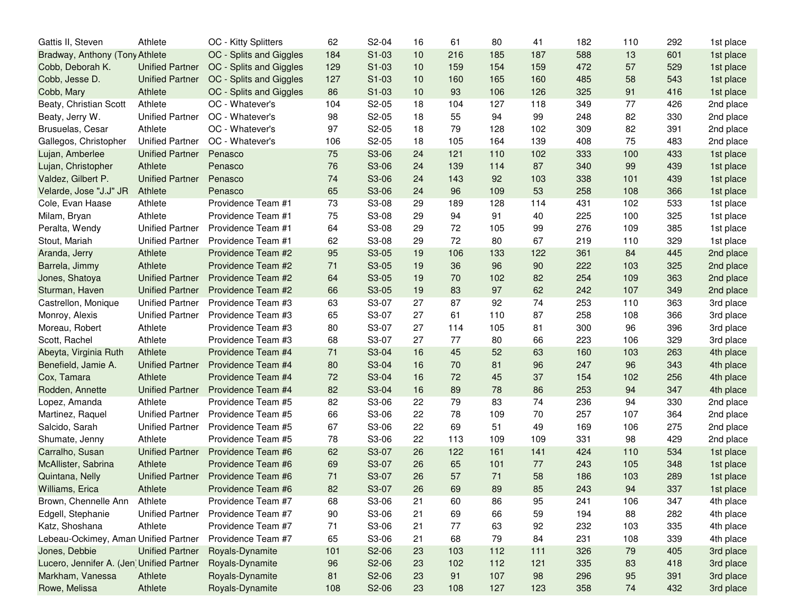| Gattis II, Steven                        | Athlete                | OC - Kitty Splitters    | 62  | S2-04              | 16 | 61  | 80  | 41  | 182 | 110 | 292 | 1st place |
|------------------------------------------|------------------------|-------------------------|-----|--------------------|----|-----|-----|-----|-----|-----|-----|-----------|
| Bradway, Anthony (Tony Athlete           |                        | OC - Splits and Giggles | 184 | S1-03              | 10 | 216 | 185 | 187 | 588 | 13  | 601 | 1st place |
| Cobb, Deborah K.                         | <b>Unified Partner</b> | OC - Splits and Giggles | 129 | $S1-03$            | 10 | 159 | 154 | 159 | 472 | 57  | 529 | 1st place |
| Cobb, Jesse D.                           | <b>Unified Partner</b> | OC - Splits and Giggles | 127 | $S1-03$            | 10 | 160 | 165 | 160 | 485 | 58  | 543 | 1st place |
| Cobb, Mary                               | Athlete                | OC - Splits and Giggles | 86  | S1-03              | 10 | 93  | 106 | 126 | 325 | 91  | 416 | 1st place |
| Beaty, Christian Scott                   | Athlete                | OC - Whatever's         | 104 | S2-05              | 18 | 104 | 127 | 118 | 349 | 77  | 426 | 2nd place |
| Beaty, Jerry W.                          | <b>Unified Partner</b> | OC - Whatever's         | 98  | S2-05              | 18 | 55  | 94  | 99  | 248 | 82  | 330 | 2nd place |
| Brusuelas, Cesar                         | Athlete                | OC - Whatever's         | 97  | S2-05              | 18 | 79  | 128 | 102 | 309 | 82  | 391 | 2nd place |
| Gallegos, Christopher                    | <b>Unified Partner</b> | OC - Whatever's         | 106 | S2-05              | 18 | 105 | 164 | 139 | 408 | 75  | 483 | 2nd place |
| Lujan, Amberlee                          | <b>Unified Partner</b> | Penasco                 | 75  | S3-06              | 24 | 121 | 110 | 102 | 333 | 100 | 433 | 1st place |
| Lujan, Christopher                       | Athlete                | Penasco                 | 76  | S3-06              | 24 | 139 | 114 | 87  | 340 | 99  | 439 | 1st place |
| Valdez, Gilbert P.                       | <b>Unified Partner</b> | Penasco                 | 74  | S3-06              | 24 | 143 | 92  | 103 | 338 | 101 | 439 | 1st place |
| Velarde, Jose "J.J" JR                   | Athlete                | Penasco                 | 65  | S3-06              | 24 | 96  | 109 | 53  | 258 | 108 | 366 | 1st place |
| Cole, Evan Haase                         | Athlete                | Providence Team #1      | 73  | S3-08              | 29 | 189 | 128 | 114 | 431 | 102 | 533 | 1st place |
| Milam, Bryan                             | Athlete                | Providence Team #1      | 75  | S3-08              | 29 | 94  | 91  | 40  | 225 | 100 | 325 | 1st place |
| Peralta, Wendy                           | <b>Unified Partner</b> | Providence Team #1      | 64  | S3-08              | 29 | 72  | 105 | 99  | 276 | 109 | 385 | 1st place |
| Stout, Mariah                            | <b>Unified Partner</b> | Providence Team #1      | 62  | S3-08              | 29 | 72  | 80  | 67  | 219 | 110 | 329 | 1st place |
| Aranda, Jerry                            | Athlete                | Providence Team #2      | 95  | S3-05              | 19 | 106 | 133 | 122 | 361 | 84  | 445 | 2nd place |
| Barrela, Jimmy                           | Athlete                | Providence Team #2      | 71  | S3-05              | 19 | 36  | 96  | 90  | 222 | 103 | 325 | 2nd place |
| Jones, Shatoya                           | <b>Unified Partner</b> | Providence Team #2      | 64  | S3-05              | 19 | 70  | 102 | 82  | 254 | 109 | 363 | 2nd place |
| Sturman, Haven                           | <b>Unified Partner</b> | Providence Team #2      | 66  | S3-05              | 19 | 83  | 97  | 62  | 242 | 107 | 349 | 2nd place |
| Castrellon, Monique                      | <b>Unified Partner</b> | Providence Team #3      | 63  | S3-07              | 27 | 87  | 92  | 74  | 253 | 110 | 363 | 3rd place |
| Monroy, Alexis                           | <b>Unified Partner</b> | Providence Team #3      | 65  | S3-07              | 27 | 61  | 110 | 87  | 258 | 108 | 366 | 3rd place |
| Moreau, Robert                           | Athlete                | Providence Team #3      | 80  | S3-07              | 27 | 114 | 105 | 81  | 300 | 96  | 396 | 3rd place |
| Scott, Rachel                            | Athlete                | Providence Team #3      | 68  | S3-07              | 27 | 77  | 80  | 66  | 223 | 106 | 329 | 3rd place |
| Abeyta, Virginia Ruth                    | Athlete                | Providence Team #4      | 71  | S3-04              | 16 | 45  | 52  | 63  | 160 | 103 | 263 | 4th place |
| Benefield, Jamie A.                      | <b>Unified Partner</b> | Providence Team #4      | 80  | S3-04              | 16 | 70  | 81  | 96  | 247 | 96  | 343 | 4th place |
| Cox, Tamara                              | Athlete                | Providence Team #4      | 72  | S3-04              | 16 | 72  | 45  | 37  | 154 | 102 | 256 | 4th place |
| Rodden, Annette                          | <b>Unified Partner</b> | Providence Team #4      | 82  | S3-04              | 16 | 89  | 78  | 86  | 253 | 94  | 347 | 4th place |
| Lopez, Amanda                            | Athlete                | Providence Team #5      | 82  | S3-06              | 22 | 79  | 83  | 74  | 236 | 94  | 330 | 2nd place |
| Martinez, Raquel                         | <b>Unified Partner</b> | Providence Team #5      | 66  | S3-06              | 22 | 78  | 109 | 70  | 257 | 107 | 364 | 2nd place |
| Salcido, Sarah                           | <b>Unified Partner</b> | Providence Team #5      | 67  | S3-06              | 22 | 69  | 51  | 49  | 169 | 106 | 275 | 2nd place |
| Shumate, Jenny                           | Athlete                | Providence Team #5      | 78  | S3-06              | 22 | 113 | 109 | 109 | 331 | 98  | 429 | 2nd place |
| Carralho, Susan                          | <b>Unified Partner</b> | Providence Team #6      | 62  | S3-07              | 26 | 122 | 161 | 141 | 424 | 110 | 534 | 1st place |
| McAllister, Sabrina                      | Athlete                | Providence Team #6      | 69  | S3-07              | 26 | 65  | 101 | 77  | 243 | 105 | 348 | 1st place |
| Quintana, Nelly                          | <b>Unified Partner</b> | Providence Team #6      | 71  | S3-07              | 26 | 57  | 71  | 58  | 186 | 103 | 289 | 1st place |
| Williams, Erica                          | Athlete                | Providence Team #6      | 82  | S <sub>3</sub> -07 | 26 | 69  | 89  | 85  | 243 | 94  | 337 | 1st place |
| Brown, Chennelle Ann                     | Athlete                | Providence Team #7      | 68  | S3-06              | 21 | 60  | 86  | 95  | 241 | 106 | 347 | 4th place |
| Edgell, Stephanie                        | <b>Unified Partner</b> | Providence Team #7      | 90  | S3-06              | 21 | 69  | 66  | 59  | 194 | 88  | 282 | 4th place |
| Katz, Shoshana                           | Athlete                | Providence Team #7      | 71  | S3-06              | 21 | 77  | 63  | 92  | 232 | 103 | 335 | 4th place |
| Lebeau-Ockimey, Aman Unified Partner     |                        | Providence Team #7      | 65  | S3-06              | 21 | 68  | 79  | 84  | 231 | 108 | 339 | 4th place |
| Jones, Debbie                            | <b>Unified Partner</b> | Royals-Dynamite         | 101 | S2-06              | 23 | 103 | 112 | 111 | 326 | 79  | 405 | 3rd place |
| Lucero, Jennifer A. (Jen Unified Partner |                        | Royals-Dynamite         | 96  | S2-06              | 23 | 102 | 112 | 121 | 335 | 83  | 418 | 3rd place |
| Markham, Vanessa                         | Athlete                | Royals-Dynamite         | 81  | S2-06              | 23 | 91  | 107 | 98  | 296 | 95  | 391 | 3rd place |
| Rowe, Melissa                            | Athlete                | Royals-Dynamite         | 108 | S2-06              | 23 | 108 | 127 | 123 | 358 | 74  | 432 | 3rd place |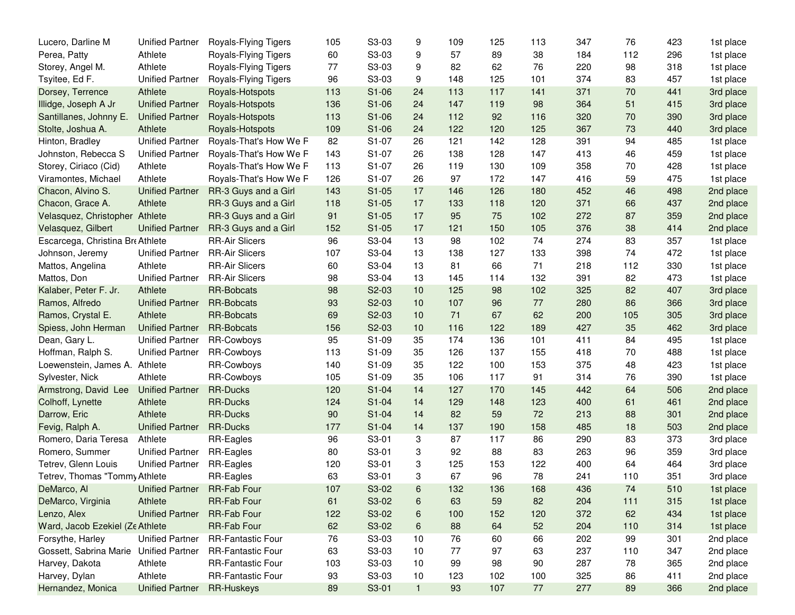| Lucero, Darline M                      | <b>Unified Partner</b> | Royals-Flying Tigers     | 105 | S3-03                          | 9            | 109 | 125 | 113 | 347 | 76  | 423 | 1st place |
|----------------------------------------|------------------------|--------------------------|-----|--------------------------------|--------------|-----|-----|-----|-----|-----|-----|-----------|
| Perea, Patty                           | Athlete                | Royals-Flying Tigers     | 60  | S3-03                          | 9            | 57  | 89  | 38  | 184 | 112 | 296 | 1st place |
| Storey, Angel M.                       | Athlete                | Royals-Flying Tigers     | 77  | S3-03                          | 9            | 82  | 62  | 76  | 220 | 98  | 318 | 1st place |
| Tsyitee, Ed F.                         | <b>Unified Partner</b> | Royals-Flying Tigers     | 96  | S3-03                          | 9            | 148 | 125 | 101 | 374 | 83  | 457 | 1st place |
| Dorsey, Terrence                       | Athlete                | Royals-Hotspots          | 113 | S1-06                          | 24           | 113 | 117 | 141 | 371 | 70  | 441 | 3rd place |
| Illidge, Joseph A Jr                   | <b>Unified Partner</b> | Royals-Hotspots          | 136 | S1-06                          | 24           | 147 | 119 | 98  | 364 | 51  | 415 | 3rd place |
| Santillanes, Johnny E.                 | <b>Unified Partner</b> | Royals-Hotspots          | 113 | S1-06                          | 24           | 112 | 92  | 116 | 320 | 70  | 390 | 3rd place |
| Stolte, Joshua A.                      | Athlete                | Royals-Hotspots          | 109 | S1-06                          | 24           | 122 | 120 | 125 | 367 | 73  | 440 | 3rd place |
| Hinton, Bradley                        | <b>Unified Partner</b> | Royals-That's How We F   | 82  | S1-07                          | 26           | 121 | 142 | 128 | 391 | 94  | 485 | 1st place |
| Johnston, Rebecca S                    | <b>Unified Partner</b> | Royals-That's How We F   | 143 | S1-07                          | 26           | 138 | 128 | 147 | 413 | 46  | 459 | 1st place |
| Storey, Ciriaco (Cid)                  | Athlete                | Royals-That's How We F   | 113 | S1-07                          | 26           | 119 | 130 | 109 | 358 | 70  | 428 | 1st place |
| Viramontes, Michael                    | Athlete                | Royals-That's How We F   | 126 | S1-07                          | 26           | 97  | 172 | 147 | 416 | 59  | 475 | 1st place |
| Chacon, Alvino S.                      | <b>Unified Partner</b> | RR-3 Guys and a Girl     | 143 | $S1-05$                        | 17           | 146 | 126 | 180 | 452 | 46  | 498 | 2nd place |
| Chacon, Grace A.                       | Athlete                | RR-3 Guys and a Girl     | 118 | $S1-05$                        | 17           | 133 | 118 | 120 | 371 | 66  | 437 | 2nd place |
| Velasquez, Christopher                 | Athlete                | RR-3 Guys and a Girl     | 91  | $S1-05$                        | 17           | 95  | 75  | 102 | 272 | 87  | 359 | 2nd place |
| Velasquez, Gilbert                     | <b>Unified Partner</b> | RR-3 Guys and a Girl     | 152 | $S1-05$                        | 17           | 121 | 150 | 105 | 376 | 38  | 414 | 2nd place |
| Escarcega, Christina Bre Athlete       |                        | <b>RR-Air Slicers</b>    | 96  | S3-04                          | 13           | 98  | 102 | 74  | 274 | 83  | 357 | 1st place |
| Johnson, Jeremy                        | <b>Unified Partner</b> | <b>RR-Air Slicers</b>    | 107 | S3-04                          | 13           | 138 | 127 | 133 | 398 | 74  | 472 | 1st place |
| Mattos, Angelina                       | Athlete                | <b>RR-Air Slicers</b>    | 60  | S3-04                          | 13           | 81  | 66  | 71  | 218 | 112 | 330 | 1st place |
| Mattos, Don                            | <b>Unified Partner</b> | <b>RR-Air Slicers</b>    | 98  | S3-04                          | 13           | 145 | 114 | 132 | 391 | 82  | 473 | 1st place |
| Kalaber, Peter F. Jr.                  | Athlete                | <b>RR-Bobcats</b>        | 98  | S2-03                          | 10           | 125 | 98  | 102 | 325 | 82  | 407 | 3rd place |
| Ramos, Alfredo                         | <b>Unified Partner</b> | <b>RR-Bobcats</b>        | 93  | S2-03                          | 10           | 107 | 96  | 77  | 280 | 86  | 366 | 3rd place |
| Ramos, Crystal E.                      | Athlete                | <b>RR-Bobcats</b>        | 69  | S2-03                          | 10           | 71  | 67  | 62  | 200 | 105 | 305 | 3rd place |
| Spiess, John Herman                    | <b>Unified Partner</b> | <b>RR-Bobcats</b>        | 156 | S2-03                          | 10           | 116 | 122 | 189 | 427 | 35  | 462 | 3rd place |
| Dean, Gary L.                          | <b>Unified Partner</b> | RR-Cowboys               | 95  | S1-09                          | 35           | 174 | 136 | 101 | 411 | 84  | 495 | 1st place |
| Hoffman, Ralph S.                      | <b>Unified Partner</b> | RR-Cowboys               | 113 | S1-09                          | 35           | 126 | 137 | 155 | 418 | 70  | 488 | 1st place |
| Loewenstein, James A.                  | Athlete                | RR-Cowboys               | 140 | S1-09                          | 35           | 122 | 100 | 153 | 375 | 48  | 423 | 1st place |
| Sylvester, Nick                        | Athlete                | RR-Cowboys               | 105 | S1-09                          | 35           | 106 | 117 | 91  | 314 | 76  | 390 | 1st place |
| Armstrong, David Lee                   | <b>Unified Partner</b> | <b>RR-Ducks</b>          | 120 | $S1-04$                        | 14           | 127 | 170 | 145 | 442 | 64  | 506 | 2nd place |
| Colhoff, Lynette                       | Athlete                | <b>RR-Ducks</b>          | 124 | $S1-04$                        | 14           | 129 | 148 | 123 | 400 | 61  | 461 | 2nd place |
| Darrow, Eric                           | Athlete                | <b>RR-Ducks</b>          | 90  | $S1-04$                        | 14           | 82  | 59  | 72  | 213 | 88  | 301 | 2nd place |
| Fevig, Ralph A.                        | <b>Unified Partner</b> | <b>RR-Ducks</b>          | 177 | $S1-04$                        | 14           | 137 | 190 | 158 | 485 | 18  | 503 | 2nd place |
| Romero, Daria Teresa                   | Athlete                | RR-Eagles                | 96  | S3-01                          | 3            | 87  | 117 | 86  | 290 | 83  | 373 | 3rd place |
| Romero, Summer                         | <b>Unified Partner</b> | RR-Eagles                | 80  | S3-01                          | 3            | 92  | 88  | 83  | 263 | 96  | 359 | 3rd place |
| Tetrev, Glenn Louis                    | <b>Unified Partner</b> | RR-Eagles                | 120 | S3-01                          | 3            | 125 | 153 | 122 | 400 | 64  | 464 | 3rd place |
| Tetrev, Thomas "Tommy Athlete          |                        | RR-Eagles                | 63  | S3-01                          | 3            | 67  | 96  | 78  | 241 | 110 | 351 | 3rd place |
| DeMarco, Al                            | <b>Unified Partner</b> | RR-Fab Four              | 107 | S <sub>3</sub> -0 <sub>2</sub> | 6            | 132 | 136 | 168 | 436 | 74  | 510 | 1st place |
| DeMarco, Virginia                      | Athlete                | RR-Fab Four              | 61  | S3-02                          | 6            | 63  | 59  | 82  | 204 | 111 | 315 | 1st place |
| Lenzo, Alex                            | <b>Unified Partner</b> | RR-Fab Four              | 122 | S3-02                          | 6            | 100 | 152 | 120 | 372 | 62  | 434 | 1st place |
| Ward, Jacob Ezekiel (Ze Athlete        |                        | RR-Fab Four              | 62  | S3-02                          | 6            | 88  | 64  | 52  | 204 | 110 | 314 | 1st place |
| Forsythe, Harley                       | <b>Unified Partner</b> | RR-Fantastic Four        | 76  | S3-03                          | 10           | 76  | 60  | 66  | 202 | 99  | 301 | 2nd place |
| Gossett, Sabrina Marie Unified Partner |                        | RR-Fantastic Four        | 63  | S3-03                          | 10           | 77  | 97  | 63  | 237 | 110 | 347 | 2nd place |
| Harvey, Dakota                         | Athlete                | <b>RR-Fantastic Four</b> | 103 | S3-03                          | 10           | 99  | 98  | 90  | 287 | 78  | 365 | 2nd place |
| Harvey, Dylan                          | Athlete                | RR-Fantastic Four        | 93  | S3-03                          | 10           | 123 | 102 | 100 | 325 | 86  | 411 | 2nd place |
| Hernandez, Monica                      | <b>Unified Partner</b> | RR-Huskeys               | 89  | S3-01                          | $\mathbf{1}$ | 93  | 107 | 77  | 277 | 89  | 366 | 2nd place |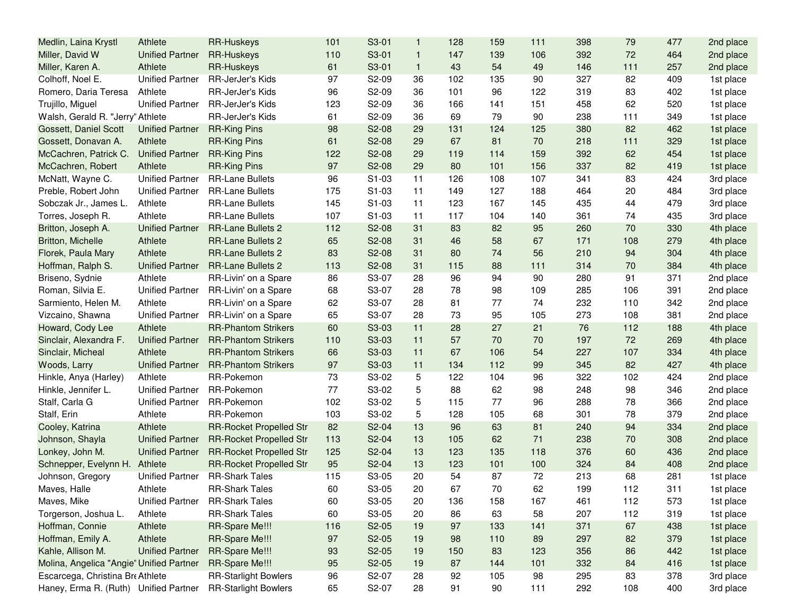| Medlin, Laina Krystl                     | Athlete                | <b>RR-Huskeys</b>              | 101 | S3-01              | $\mathbf{1}$ | 128 | 159 | 111 | 398 | 79  | 477 | 2nd place |
|------------------------------------------|------------------------|--------------------------------|-----|--------------------|--------------|-----|-----|-----|-----|-----|-----|-----------|
| Miller, David W                          | <b>Unified Partner</b> | <b>RR-Huskeys</b>              | 110 | S3-01              | $\mathbf{1}$ | 147 | 139 | 106 | 392 | 72  | 464 | 2nd place |
| Miller, Karen A.                         | Athlete                | <b>RR-Huskeys</b>              | 61  | S3-01              | $\mathbf{1}$ | 43  | 54  | 49  | 146 | 111 | 257 | 2nd place |
| Colhoff, Noel E.                         | <b>Unified Partner</b> | RR-JerJer's Kids               | 97  | S2-09              | 36           | 102 | 135 | 90  | 327 | 82  | 409 | 1st place |
| Romero, Daria Teresa                     | Athlete                | RR-JerJer's Kids               | 96  | S2-09              | 36           | 101 | 96  | 122 | 319 | 83  | 402 | 1st place |
| Trujillo, Miguel                         | <b>Unified Partner</b> | RR-JerJer's Kids               | 123 | S2-09              | 36           | 166 | 141 | 151 | 458 | 62  | 520 | 1st place |
| Walsh, Gerald R. "Jerry' Athlete         |                        | RR-JerJer's Kids               | 61  | S2-09              | 36           | 69  | 79  | 90  | 238 | 111 | 349 | 1st place |
| Gossett, Daniel Scott                    | <b>Unified Partner</b> | <b>RR-King Pins</b>            | 98  | S2-08              | 29           | 131 | 124 | 125 | 380 | 82  | 462 | 1st place |
| Gossett, Donavan A.                      | Athlete                | <b>RR-King Pins</b>            | 61  | S2-08              | 29           | 67  | 81  | 70  | 218 | 111 | 329 | 1st place |
| McCachren, Patrick C.                    | <b>Unified Partner</b> | <b>RR-King Pins</b>            | 122 | S2-08              | 29           | 119 | 114 | 159 | 392 | 62  | 454 | 1st place |
| McCachren, Robert                        | Athlete                | <b>RR-King Pins</b>            | 97  | S2-08              | 29           | 80  | 101 | 156 | 337 | 82  | 419 | 1st place |
| McNatt, Wayne C.                         | <b>Unified Partner</b> | <b>RR-Lane Bullets</b>         | 96  | S1-03              | 11           | 126 | 108 | 107 | 341 | 83  | 424 | 3rd place |
| Preble, Robert John                      | <b>Unified Partner</b> | <b>RR-Lane Bullets</b>         | 175 | S1-03              | 11           | 149 | 127 | 188 | 464 | 20  | 484 | 3rd place |
| Sobczak Jr., James L.                    | Athlete                | <b>RR-Lane Bullets</b>         | 145 | S1-03              | 11           | 123 | 167 | 145 | 435 | 44  | 479 | 3rd place |
| Torres, Joseph R.                        | Athlete                | <b>RR-Lane Bullets</b>         | 107 | S1-03              | 11           | 117 | 104 | 140 | 361 | 74  | 435 | 3rd place |
| Britton, Joseph A.                       | <b>Unified Partner</b> | <b>RR-Lane Bullets 2</b>       | 112 | S2-08              | 31           | 83  | 82  | 95  | 260 | 70  | 330 | 4th place |
| Britton, Michelle                        | Athlete                | <b>RR-Lane Bullets 2</b>       | 65  | S2-08              | 31           | 46  | 58  | 67  | 171 | 108 | 279 | 4th place |
| Florek, Paula Mary                       | Athlete                | <b>RR-Lane Bullets 2</b>       | 83  | S2-08              | 31           | 80  | 74  | 56  | 210 | 94  | 304 | 4th place |
| Hoffman, Ralph S.                        | <b>Unified Partner</b> | <b>RR-Lane Bullets 2</b>       | 113 | S2-08              | 31           | 115 | 88  | 111 | 314 | 70  | 384 | 4th place |
| Briseno, Sydnie                          | Athlete                | RR-Livin' on a Spare           | 86  | S3-07              | 28           | 96  | 94  | 90  | 280 | 91  | 371 | 2nd place |
| Roman, Silvia E.                         | <b>Unified Partner</b> | RR-Livin' on a Spare           | 68  | S3-07              | 28           | 78  | 98  | 109 | 285 | 106 | 391 | 2nd place |
| Sarmiento, Helen M.                      | Athlete                | RR-Livin' on a Spare           | 62  | S3-07              | 28           | 81  | 77  | 74  | 232 | 110 | 342 | 2nd place |
| Vizcaino, Shawna                         | <b>Unified Partner</b> | RR-Livin' on a Spare           | 65  | S3-07              | 28           | 73  | 95  | 105 | 273 | 108 | 381 | 2nd place |
| Howard, Cody Lee                         | Athlete                | <b>RR-Phantom Strikers</b>     | 60  | S3-03              | 11           | 28  | 27  | 21  | 76  | 112 | 188 | 4th place |
| Sinclair, Alexandra F.                   | <b>Unified Partner</b> | <b>RR-Phantom Strikers</b>     | 110 | S3-03              | 11           | 57  | 70  | 70  | 197 | 72  | 269 | 4th place |
| Sinclair, Micheal                        | Athlete                | <b>RR-Phantom Strikers</b>     | 66  | S3-03              | 11           | 67  | 106 | 54  | 227 | 107 | 334 | 4th place |
| Woods, Larry                             | <b>Unified Partner</b> | <b>RR-Phantom Strikers</b>     | 97  | S3-03              | 11           | 134 | 112 | 99  | 345 | 82  | 427 | 4th place |
| Hinkle, Anya (Harley)                    | Athlete                | RR-Pokemon                     | 73  | S3-02              | 5            | 122 | 104 | 96  | 322 | 102 | 424 | 2nd place |
| Hinkle, Jennifer L.                      | <b>Unified Partner</b> | RR-Pokemon                     | 77  | S3-02              | 5            | 88  | 62  | 98  | 248 | 98  | 346 | 2nd place |
| Stalf, Carla G                           | <b>Unified Partner</b> | RR-Pokemon                     | 102 | S3-02              | 5            | 115 | 77  | 96  | 288 | 78  | 366 | 2nd place |
| Stalf, Erin                              | Athlete                | RR-Pokemon                     | 103 | S3-02              | 5            | 128 | 105 | 68  | 301 | 78  | 379 | 2nd place |
| Cooley, Katrina                          | Athlete                | <b>RR-Rocket Propelled Str</b> | 82  | S2-04              | 13           | 96  | 63  | 81  | 240 | 94  | 334 | 2nd place |
| Johnson, Shayla                          | <b>Unified Partner</b> | <b>RR-Rocket Propelled Str</b> | 113 | S2-04              | 13           | 105 | 62  | 71  | 238 | 70  | 308 | 2nd place |
| Lonkey, John M.                          | <b>Unified Partner</b> | <b>RR-Rocket Propelled Str</b> | 125 | S2-04              | 13           | 123 | 135 | 118 | 376 | 60  | 436 | 2nd place |
| Schnepper, Evelynn H.                    | Athlete                | <b>RR-Rocket Propelled Str</b> | 95  | S2-04              | 13           | 123 | 101 | 100 | 324 | 84  | 408 | 2nd place |
| Johnson, Gregory                         | <b>Unified Partner</b> | <b>RR-Shark Tales</b>          | 115 | S3-05              | 20           | 54  | 87  | 72  | 213 | 68  | 281 | 1st place |
| Maves, Halle                             | Athlete                | <b>RR-Shark Tales</b>          | 60  | S <sub>3</sub> -05 | 20           | 67  | 70  | 62  | 199 | 112 | 311 | 1st place |
| Maves, Mike                              | <b>Unified Partner</b> | <b>RR-Shark Tales</b>          | 60  | S3-05              | 20           | 136 | 158 | 167 | 461 | 112 | 573 | 1st place |
| Torgerson, Joshua L.                     | Athlete                | <b>RR-Shark Tales</b>          | 60  | S3-05              | 20           | 86  | 63  | 58  | 207 | 112 | 319 | 1st place |
| Hoffman, Connie                          | Athlete                | RR-Spare Me!!!                 | 116 | S2-05              | 19           | 97  | 133 | 141 | 371 | 67  | 438 | 1st place |
| Hoffman, Emily A.                        | Athlete                | RR-Spare Me!!!                 | 97  | S2-05              | 19           | 98  | 110 | 89  | 297 | 82  | 379 | 1st place |
| Kahle, Allison M.                        | <b>Unified Partner</b> | RR-Spare Me!!!                 | 93  | S2-05              | 19           | 150 | 83  | 123 | 356 | 86  | 442 | 1st place |
| Molina, Angelica "Angie' Unified Partner |                        | RR-Spare Me!!!                 | 95  | S2-05              | 19           | 87  | 144 | 101 | 332 | 84  | 416 | 1st place |
| Escarcega, Christina Bre Athlete         |                        | <b>RR-Starlight Bowlers</b>    | 96  | S2-07              | 28           | 92  | 105 | 98  | 295 | 83  | 378 | 3rd place |
| Haney, Erma R. (Ruth) Unified Partner    |                        | <b>RR-Starlight Bowlers</b>    | 65  | S2-07              | 28           | 91  | 90  | 111 | 292 | 108 | 400 | 3rd place |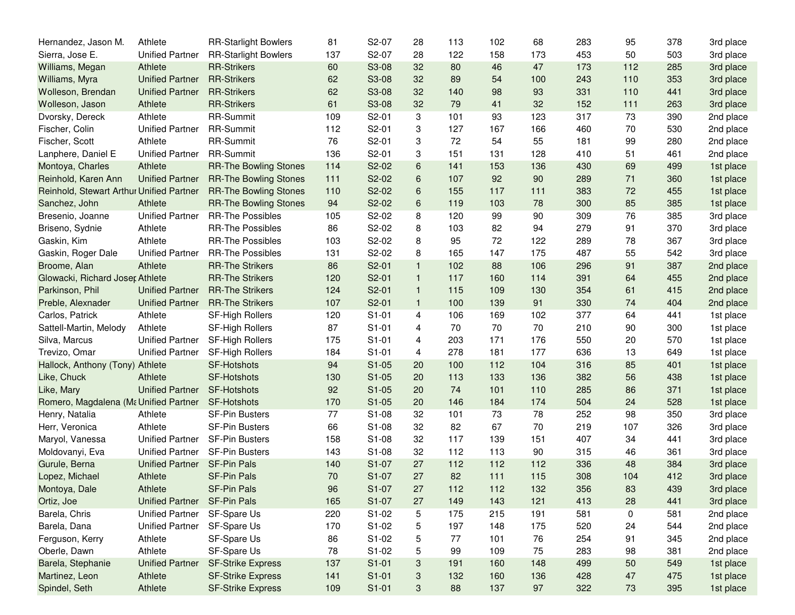| Hernandez, Jason M.                      | Athlete                | <b>RR-Starlight Bowlers</b>  | 81  | S2-07              | 28                        | 113 | 102 | 68  | 283 | 95  | 378 | 3rd place |
|------------------------------------------|------------------------|------------------------------|-----|--------------------|---------------------------|-----|-----|-----|-----|-----|-----|-----------|
| Sierra, Jose E.                          | <b>Unified Partner</b> | <b>RR-Starlight Bowlers</b>  | 137 | S2-07              | 28                        | 122 | 158 | 173 | 453 | 50  | 503 | 3rd place |
| Williams, Megan                          | Athlete                | <b>RR-Strikers</b>           | 60  | S3-08              | 32                        | 80  | 46  | 47  | 173 | 112 | 285 | 3rd place |
| Williams, Myra                           | <b>Unified Partner</b> | <b>RR-Strikers</b>           | 62  | S3-08              | 32                        | 89  | 54  | 100 | 243 | 110 | 353 | 3rd place |
| Wolleson, Brendan                        | <b>Unified Partner</b> | <b>RR-Strikers</b>           | 62  | S3-08              | 32                        | 140 | 98  | 93  | 331 | 110 | 441 | 3rd place |
| Wolleson, Jason                          | Athlete                | <b>RR-Strikers</b>           | 61  | S3-08              | 32                        | 79  | 41  | 32  | 152 | 111 | 263 | 3rd place |
| Dvorsky, Dereck                          | Athlete                | RR-Summit                    | 109 | S2-01              | 3                         | 101 | 93  | 123 | 317 | 73  | 390 | 2nd place |
| Fischer, Colin                           | <b>Unified Partner</b> | RR-Summit                    | 112 | S2-01              | 3                         | 127 | 167 | 166 | 460 | 70  | 530 | 2nd place |
| Fischer, Scott                           | Athlete                | <b>RR-Summit</b>             | 76  | S2-01              | 3                         | 72  | 54  | 55  | 181 | 99  | 280 | 2nd place |
| Lanphere, Daniel E                       | <b>Unified Partner</b> | RR-Summit                    | 136 | S2-01              | 3                         | 151 | 131 | 128 | 410 | 51  | 461 | 2nd place |
| Montoya, Charles                         | Athlete                | <b>RR-The Bowling Stones</b> | 114 | S2-02              | 6                         | 141 | 153 | 136 | 430 | 69  | 499 | 1st place |
| Reinhold, Karen Ann                      | <b>Unified Partner</b> | <b>RR-The Bowling Stones</b> | 111 | S2-02              | 6                         | 107 | 92  | 90  | 289 | 71  | 360 | 1st place |
| Reinhold, Stewart Arthur Unified Partner |                        | <b>RR-The Bowling Stones</b> | 110 | S2-02              | 6                         | 155 | 117 | 111 | 383 | 72  | 455 | 1st place |
| Sanchez, John                            | Athlete                | <b>RR-The Bowling Stones</b> | 94  | S2-02              | $\,6\,$                   | 119 | 103 | 78  | 300 | 85  | 385 | 1st place |
| Bresenio, Joanne                         | <b>Unified Partner</b> | <b>RR-The Possibles</b>      | 105 | S2-02              | 8                         | 120 | 99  | 90  | 309 | 76  | 385 | 3rd place |
| Briseno, Sydnie                          | Athlete                | <b>RR-The Possibles</b>      | 86  | S2-02              | 8                         | 103 | 82  | 94  | 279 | 91  | 370 | 3rd place |
| Gaskin, Kim                              | Athlete                | <b>RR-The Possibles</b>      | 103 | S2-02              | 8                         | 95  | 72  | 122 | 289 | 78  | 367 | 3rd place |
| Gaskin, Roger Dale                       | <b>Unified Partner</b> | <b>RR-The Possibles</b>      | 131 | S2-02              | 8                         | 165 | 147 | 175 | 487 | 55  | 542 | 3rd place |
| Broome, Alan                             | Athlete                | <b>RR-The Strikers</b>       | 86  | S2-01              | $\mathbf{1}$              | 102 | 88  | 106 | 296 | 91  | 387 | 2nd place |
| Glowacki, Richard Joser Athlete          |                        | <b>RR-The Strikers</b>       | 120 | S2-01              | $\mathbf{1}$              | 117 | 160 | 114 | 391 | 64  | 455 | 2nd place |
| Parkinson, Phil                          | <b>Unified Partner</b> | <b>RR-The Strikers</b>       | 124 | S2-01              | $\mathbf{1}$              | 115 | 109 | 130 | 354 | 61  | 415 | 2nd place |
| Preble, Alexnader                        | <b>Unified Partner</b> | <b>RR-The Strikers</b>       | 107 | S2-01              | $\mathbf{1}$              | 100 | 139 | 91  | 330 | 74  | 404 | 2nd place |
| Carlos, Patrick                          | Athlete                | SF-High Rollers              | 120 | $S1-01$            | $\overline{4}$            | 106 | 169 | 102 | 377 | 64  | 441 | 1st place |
| Sattell-Martin, Melody                   | Athlete                | SF-High Rollers              | 87  | $S1-01$            | 4                         | 70  | 70  | 70  | 210 | 90  | 300 | 1st place |
| Silva, Marcus                            | <b>Unified Partner</b> | SF-High Rollers              | 175 | $S1-01$            | 4                         | 203 | 171 | 176 | 550 | 20  | 570 | 1st place |
| Trevizo, Omar                            | <b>Unified Partner</b> | SF-High Rollers              | 184 | $S1-01$            | 4                         | 278 | 181 | 177 | 636 | 13  | 649 | 1st place |
| Hallock, Anthony (Tony) Athlete          |                        | <b>SF-Hotshots</b>           | 94  | $S1-05$            | 20                        | 100 | 112 | 104 | 316 | 85  | 401 | 1st place |
| Like, Chuck                              | Athlete                | SF-Hotshots                  | 130 | $S1-05$            | 20                        | 113 | 133 | 136 | 382 | 56  | 438 | 1st place |
| Like, Mary                               | <b>Unified Partner</b> | <b>SF-Hotshots</b>           | 92  | $S1-05$            | 20                        | 74  | 101 | 110 | 285 | 86  | 371 | 1st place |
| Romero, Magdalena (Ma Unified Partner    |                        | SF-Hotshots                  | 170 | $S1-05$            | 20                        | 146 | 184 | 174 | 504 | 24  | 528 | 1st place |
| Henry, Natalia                           | Athlete                | <b>SF-Pin Busters</b>        | 77  | S1-08              | 32                        | 101 | 73  | 78  | 252 | 98  | 350 | 3rd place |
| Herr, Veronica                           | Athlete                | SF-Pin Busters               | 66  | S1-08              | 32                        | 82  | 67  | 70  | 219 | 107 | 326 | 3rd place |
| Maryol, Vanessa                          | <b>Unified Partner</b> | <b>SF-Pin Busters</b>        | 158 | S1-08              | 32                        | 117 | 139 | 151 | 407 | 34  | 441 | 3rd place |
| Moldovanyi, Eva                          | <b>Unified Partner</b> | SF-Pin Busters               | 143 | S1-08              | 32                        | 112 | 113 | 90  | 315 | 46  | 361 | 3rd place |
| Gurule, Berna                            | <b>Unified Partner</b> | <b>SF-Pin Pals</b>           | 140 | S1-07              | 27                        | 112 | 112 | 112 | 336 | 48  | 384 | 3rd place |
| Lopez, Michael                           | Athlete                | <b>SF-Pin Pals</b>           | 70  | S1-07              | 27                        | 82  | 111 | 115 | 308 | 104 | 412 | 3rd place |
| Montoya, Dale                            | Athlete                | SF-Pin Pals                  | 96  | S <sub>1</sub> -07 | 27                        | 112 | 112 | 132 | 356 | 83  | 439 | 3rd place |
| Ortiz, Joe                               | <b>Unified Partner</b> | SF-Pin Pals                  | 165 | S1-07              | 27                        | 149 | 143 | 121 | 413 | 28  | 441 | 3rd place |
| Barela, Chris                            | <b>Unified Partner</b> | SF-Spare Us                  | 220 | S1-02              | 5                         | 175 | 215 | 191 | 581 | 0   | 581 | 2nd place |
| Barela, Dana                             | <b>Unified Partner</b> | SF-Spare Us                  | 170 | S1-02              | 5                         | 197 | 148 | 175 | 520 | 24  | 544 | 2nd place |
| Ferguson, Kerry                          | Athlete                | SF-Spare Us                  | 86  | S1-02              | 5                         | 77  | 101 | 76  | 254 | 91  | 345 | 2nd place |
| Oberle, Dawn                             | Athlete                | SF-Spare Us                  | 78  | S1-02              | 5                         | 99  | 109 | 75  | 283 | 98  | 381 | 2nd place |
| Barela, Stephanie                        | <b>Unified Partner</b> | <b>SF-Strike Express</b>     | 137 | $S1-01$            | 3                         | 191 | 160 | 148 | 499 | 50  | 549 | 1st place |
| Martinez, Leon                           | Athlete                | <b>SF-Strike Express</b>     | 141 | $S1-01$            | $\ensuremath{\mathsf{3}}$ | 132 | 160 | 136 | 428 | 47  | 475 | 1st place |
| Spindel, Seth                            | Athlete                | <b>SF-Strike Express</b>     | 109 | $S1-01$            | 3                         | 88  | 137 | 97  | 322 | 73  | 395 | 1st place |
|                                          |                        |                              |     |                    |                           |     |     |     |     |     |     |           |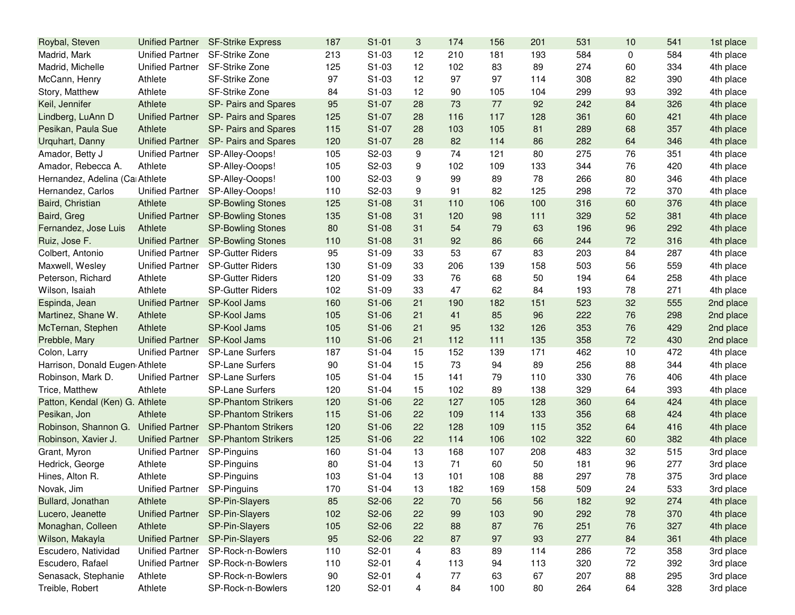| Roybal, Steven                  | <b>Unified Partner</b>      | <b>SF-Strike Express</b>   | 187 | $S1-01$            | 3  | 174 | 156 | 201 | 531 | 10 | 541 | 1st place |
|---------------------------------|-----------------------------|----------------------------|-----|--------------------|----|-----|-----|-----|-----|----|-----|-----------|
| Madrid, Mark                    | <b>Unified Partner</b>      | SF-Strike Zone             | 213 | S1-03              | 12 | 210 | 181 | 193 | 584 | 0  | 584 | 4th place |
| Madrid, Michelle                | <b>Unified Partner</b>      | SF-Strike Zone             | 125 | S1-03              | 12 | 102 | 83  | 89  | 274 | 60 | 334 | 4th place |
| McCann, Henry                   | Athlete                     | SF-Strike Zone             | 97  | $S1-03$            | 12 | 97  | 97  | 114 | 308 | 82 | 390 | 4th place |
| Story, Matthew                  | Athlete                     | <b>SF-Strike Zone</b>      | 84  | S1-03              | 12 | 90  | 105 | 104 | 299 | 93 | 392 | 4th place |
| Keil, Jennifer                  | Athlete                     | SP- Pairs and Spares       | 95  | S1-07              | 28 | 73  | 77  | 92  | 242 | 84 | 326 | 4th place |
| Lindberg, LuAnn D               | <b>Unified Partner</b>      | SP- Pairs and Spares       | 125 | S1-07              | 28 | 116 | 117 | 128 | 361 | 60 | 421 | 4th place |
| Pesikan, Paula Sue              | Athlete                     | SP- Pairs and Spares       | 115 | S1-07              | 28 | 103 | 105 | 81  | 289 | 68 | 357 | 4th place |
| Urquhart, Danny                 | <b>Unified Partner</b>      | SP- Pairs and Spares       | 120 | S1-07              | 28 | 82  | 114 | 86  | 282 | 64 | 346 | 4th place |
| Amador, Betty J                 | <b>Unified Partner</b>      | SP-Alley-Ooops!            | 105 | S2-03              | 9  | 74  | 121 | 80  | 275 | 76 | 351 | 4th place |
| Amador, Rebecca A.              | Athlete                     | SP-Alley-Ooops!            | 105 | S2-03              | 9  | 102 | 109 | 133 | 344 | 76 | 420 | 4th place |
| Hernandez, Adelina (Ca Athlete  |                             | SP-Alley-Ooops!            | 100 | S2-03              | 9  | 99  | 89  | 78  | 266 | 80 | 346 | 4th place |
| Hernandez, Carlos               | <b>Unified Partner</b>      | SP-Alley-Ooops!            | 110 | S2-03              | 9  | 91  | 82  | 125 | 298 | 72 | 370 | 4th place |
| Baird, Christian                | Athlete                     | <b>SP-Bowling Stones</b>   | 125 | S1-08              | 31 | 110 | 106 | 100 | 316 | 60 | 376 | 4th place |
| Baird, Greg                     | <b>Unified Partner</b>      | <b>SP-Bowling Stones</b>   | 135 | S1-08              | 31 | 120 | 98  | 111 | 329 | 52 | 381 | 4th place |
| Fernandez, Jose Luis            | Athlete                     | <b>SP-Bowling Stones</b>   | 80  | S1-08              | 31 | 54  | 79  | 63  | 196 | 96 | 292 | 4th place |
| Ruiz, Jose F.                   | <b>Unified Partner</b>      | <b>SP-Bowling Stones</b>   | 110 | S1-08              | 31 | 92  | 86  | 66  | 244 | 72 | 316 | 4th place |
| Colbert, Antonio                | <b>Unified Partner</b>      | <b>SP-Gutter Riders</b>    | 95  | S1-09              | 33 | 53  | 67  | 83  | 203 | 84 | 287 | 4th place |
| Maxwell, Wesley                 | <b>Unified Partner</b>      | <b>SP-Gutter Riders</b>    | 130 | S1-09              | 33 | 206 | 139 | 158 | 503 | 56 | 559 | 4th place |
| Peterson, Richard               | Athlete                     | <b>SP-Gutter Riders</b>    | 120 | S1-09              | 33 | 76  | 68  | 50  | 194 | 64 | 258 | 4th place |
| Wilson, Isaiah                  | Athlete                     | <b>SP-Gutter Riders</b>    | 102 | S1-09              | 33 | 47  | 62  | 84  | 193 | 78 | 271 | 4th place |
| Espinda, Jean                   | <b>Unified Partner</b>      | SP-Kool Jams               | 160 | S1-06              | 21 | 190 | 182 | 151 | 523 | 32 | 555 | 2nd place |
| Martinez, Shane W.              | Athlete                     | SP-Kool Jams               | 105 | S1-06              | 21 | 41  | 85  | 96  | 222 | 76 | 298 | 2nd place |
| McTernan, Stephen               | Athlete                     | <b>SP-Kool Jams</b>        | 105 | S1-06              | 21 | 95  | 132 | 126 | 353 | 76 | 429 | 2nd place |
| Prebble, Mary                   | <b>Unified Partner</b>      | SP-Kool Jams               | 110 | S1-06              | 21 | 112 | 111 | 135 | 358 | 72 | 430 | 2nd place |
| Colon, Larry                    | <b>Unified Partner</b>      | SP-Lane Surfers            | 187 | S1-04              | 15 | 152 | 139 | 171 | 462 | 10 | 472 | 4th place |
| Harrison, Donald Eugen Athlete  |                             | <b>SP-Lane Surfers</b>     | 90  | S1-04              | 15 | 73  | 94  | 89  | 256 | 88 | 344 | 4th place |
| Robinson, Mark D.               | <b>Unified Partner</b>      | SP-Lane Surfers            | 105 | S1-04              | 15 | 141 | 79  | 110 | 330 | 76 | 406 | 4th place |
| Trice, Matthew                  | Athlete                     | SP-Lane Surfers            | 120 | S1-04              | 15 | 102 | 89  | 138 | 329 | 64 | 393 | 4th place |
| Patton, Kendal (Ken) G. Athlete |                             | <b>SP-Phantom Strikers</b> | 120 | S1-06              | 22 | 127 | 105 | 128 | 360 | 64 | 424 | 4th place |
| Pesikan, Jon                    | Athlete                     | <b>SP-Phantom Strikers</b> | 115 | S1-06              | 22 | 109 | 114 | 133 | 356 | 68 | 424 | 4th place |
| Robinson, Shannon G.            | <b>Unified Partner</b>      | <b>SP-Phantom Strikers</b> | 120 | S1-06              | 22 | 128 | 109 | 115 | 352 | 64 | 416 | 4th place |
| Robinson, Xavier J.             | <b>Unified Partner</b>      | <b>SP-Phantom Strikers</b> | 125 | S1-06              | 22 | 114 | 106 | 102 | 322 | 60 | 382 | 4th place |
| Grant, Myron                    | <b>Unified Partner</b>      | SP-Pinguins                | 160 | S1-04              | 13 | 168 | 107 | 208 | 483 | 32 | 515 | 3rd place |
| Hedrick, George                 | Athlete                     | SP-Pinguins                | 80  | S1-04              | 13 | 71  | 60  | 50  | 181 | 96 | 277 | 3rd place |
| Hines, Alton R.                 | Athlete                     | SP-Pinguins                | 103 | S1-04              | 13 | 101 | 108 | 88  | 297 | 78 | 375 | 3rd place |
| Novak, Jim                      | Unified Partner SP-Pinguins |                            | 170 | S <sub>1</sub> -04 | 13 | 182 | 169 | 158 | 509 | 24 | 533 | 3rd place |
| Bullard, Jonathan               | Athlete                     | SP-Pin-Slayers             | 85  | S2-06              | 22 | 70  | 56  | 56  | 182 | 92 | 274 | 4th place |
| Lucero, Jeanette                | <b>Unified Partner</b>      | SP-Pin-Slayers             | 102 | S2-06              | 22 | 99  | 103 | 90  | 292 | 78 | 370 | 4th place |
| Monaghan, Colleen               | Athlete                     | SP-Pin-Slayers             | 105 | S2-06              | 22 | 88  | 87  | 76  | 251 | 76 | 327 | 4th place |
| Wilson, Makayla                 | <b>Unified Partner</b>      | SP-Pin-Slayers             | 95  | S2-06              | 22 | 87  | 97  | 93  | 277 | 84 | 361 | 4th place |
| Escudero, Natividad             | <b>Unified Partner</b>      | SP-Rock-n-Bowlers          | 110 | S2-01              | 4  | 83  | 89  | 114 | 286 | 72 | 358 | 3rd place |
| Escudero, Rafael                | <b>Unified Partner</b>      | SP-Rock-n-Bowlers          | 110 | S2-01              | 4  | 113 | 94  | 113 | 320 | 72 | 392 | 3rd place |
| Senasack, Stephanie             | Athlete                     | SP-Rock-n-Bowlers          | 90  | S2-01              | 4  | 77  | 63  | 67  | 207 | 88 | 295 | 3rd place |
| Treible, Robert                 | Athlete                     | SP-Rock-n-Bowlers          | 120 | S2-01              | 4  | 84  | 100 | 80  | 264 | 64 | 328 | 3rd place |